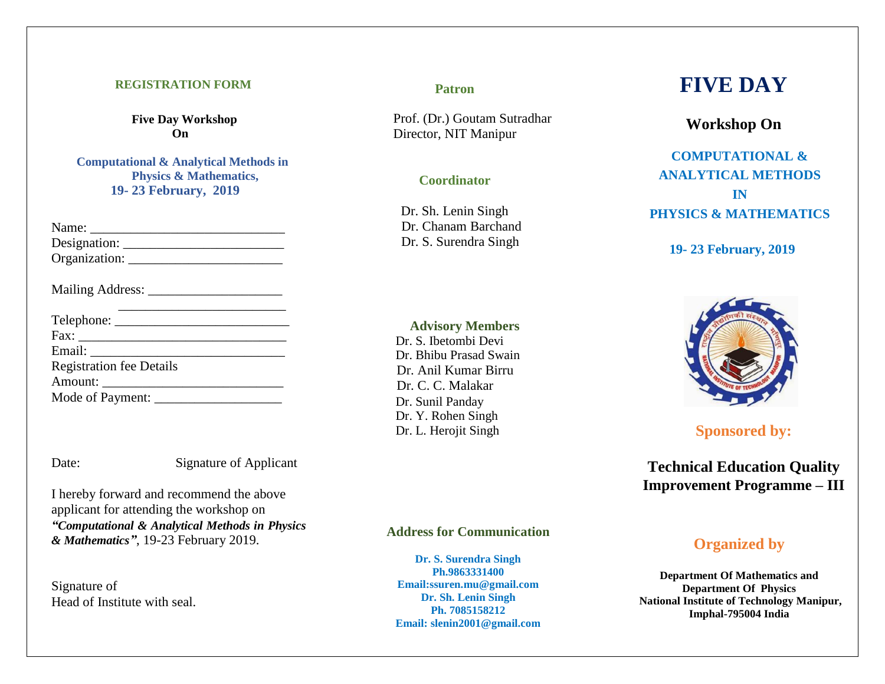#### **REGISTRATION FORM**

**Five Day Workshop On**

**Computational & Analytical Methods in Physics & Mathematics, 19- 23 February, 2019**

| <b>Registration fee Details</b> |
|---------------------------------|
|                                 |
|                                 |

Date: Signature of Applicant

I hereby forward and recommend the above applicant for attending the workshop on *"Computational & Analytical Methods in Physics & Mathematics"*, 19-23 February 2019.

Signature of Head of Institute with seal.

#### **Patron**

Prof. (Dr.) Goutam Sutradhar Director, NIT Manipur

#### **Coordinator**

Dr. Sh. Lenin Singh Dr. Chanam Barchand Dr. S. Surendra Singh

#### **Advisory Members**

 Dr. S. Ibetombi Devi Dr. Bhibu Prasad Swain Dr. Anil Kumar Birru Dr. C. C. Malakar Dr. Sunil Panday Dr. Y. Rohen Singh Dr. L. Herojit Singh

#### **Address for Communication**

**Dr. S. Surendra Singh Ph.9863331400 Email:ssuren.mu@gmail.com Dr. Sh. Lenin Singh Ph. 7085158212 Email: slenin2001@gmail.com**

# **FIVE DAY**

## **Workshop On**

**COMPUTATIONAL & ANALYTICAL METHODS IN PHYSICS & MATHEMATICS**

#### **19- 23 February, 2019**



**Sponsored by:**

**Technical Education Quality Improvement Programme – III**

## **Organized by**

**Department Of Mathematics and Department Of Physics National Institute of Technology Manipur, Imphal-795004 India**